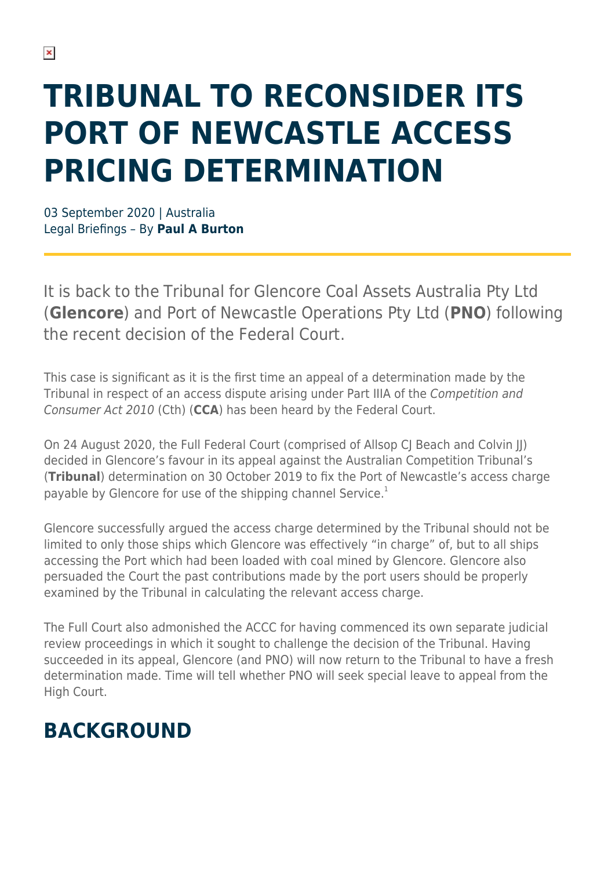# **TRIBUNAL TO RECONSIDER ITS PORT OF NEWCASTLE ACCESS PRICING DETERMINATION**

03 September 2020 | Australia Legal Briefings – By **Paul A Burton**

It is back to the Tribunal for Glencore Coal Assets Australia Pty Ltd (**Glencore**) and Port of Newcastle Operations Pty Ltd (**PNO**) following the recent decision of the Federal Court.

This case is significant as it is the first time an appeal of a determination made by the Tribunal in respect of an access dispute arising under Part IIIA of the Competition and Consumer Act 2010 (Cth) (**CCA**) has been heard by the Federal Court.

On 24 August 2020, the Full Federal Court (comprised of Allsop CJ Beach and Colvin JJ) decided in Glencore's favour in its appeal against the Australian Competition Tribunal's (**Tribunal**) determination on 30 October 2019 to fix the Port of Newcastle's access charge payable by Glencore for use of the shipping channel Service.<sup>1</sup>

Glencore successfully argued the access charge determined by the Tribunal should not be limited to only those ships which Glencore was effectively "in charge" of, but to all ships accessing the Port which had been loaded with coal mined by Glencore. Glencore also persuaded the Court the past contributions made by the port users should be properly examined by the Tribunal in calculating the relevant access charge.

The Full Court also admonished the ACCC for having commenced its own separate judicial review proceedings in which it sought to challenge the decision of the Tribunal. Having succeeded in its appeal, Glencore (and PNO) will now return to the Tribunal to have a fresh determination made. Time will tell whether PNO will seek special leave to appeal from the High Court.

#### **BACKGROUND**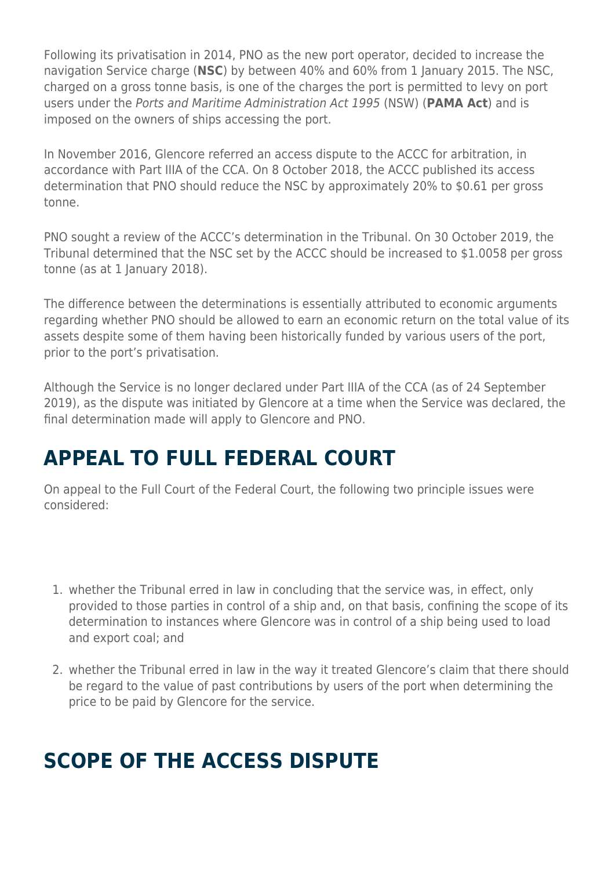Following its privatisation in 2014, PNO as the new port operator, decided to increase the navigation Service charge (**NSC**) by between 40% and 60% from 1 January 2015. The NSC, charged on a gross tonne basis, is one of the charges the port is permitted to levy on port users under the Ports and Maritime Administration Act 1995 (NSW) (**PAMA Act**) and is imposed on the owners of ships accessing the port.

In November 2016, Glencore referred an access dispute to the ACCC for arbitration, in accordance with Part IIIA of the CCA. On 8 October 2018, the ACCC published its access determination that PNO should reduce the NSC by approximately 20% to \$0.61 per gross tonne.

PNO sought a review of the ACCC's determination in the Tribunal. On 30 October 2019, the Tribunal determined that the NSC set by the ACCC should be increased to \$1.0058 per gross tonne (as at 1 January 2018).

The difference between the determinations is essentially attributed to economic arguments regarding whether PNO should be allowed to earn an economic return on the total value of its assets despite some of them having been historically funded by various users of the port, prior to the port's privatisation.

Although the Service is no longer declared under Part IIIA of the CCA (as of 24 September 2019), as the dispute was initiated by Glencore at a time when the Service was declared, the final determination made will apply to Glencore and PNO.

## **APPEAL TO FULL FEDERAL COURT**

On appeal to the Full Court of the Federal Court, the following two principle issues were considered:

- 1. whether the Tribunal erred in law in concluding that the service was, in effect, only provided to those parties in control of a ship and, on that basis, confining the scope of its determination to instances where Glencore was in control of a ship being used to load and export coal; and
- 2. whether the Tribunal erred in law in the way it treated Glencore's claim that there should be regard to the value of past contributions by users of the port when determining the price to be paid by Glencore for the service.

## **SCOPE OF THE ACCESS DISPUTE**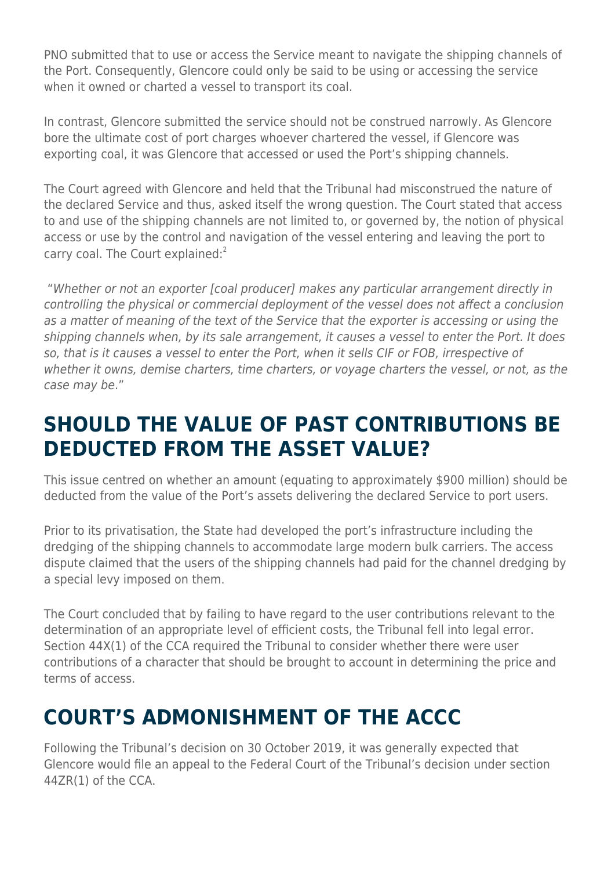PNO submitted that to use or access the Service meant to navigate the shipping channels of the Port. Consequently, Glencore could only be said to be using or accessing the service when it owned or charted a vessel to transport its coal.

In contrast, Glencore submitted the service should not be construed narrowly. As Glencore bore the ultimate cost of port charges whoever chartered the vessel, if Glencore was exporting coal, it was Glencore that accessed or used the Port's shipping channels.

The Court agreed with Glencore and held that the Tribunal had misconstrued the nature of the declared Service and thus, asked itself the wrong question. The Court stated that access to and use of the shipping channels are not limited to, or governed by, the notion of physical access or use by the control and navigation of the vessel entering and leaving the port to carry coal. The Court explained:<sup>2</sup>

 "Whether or not an exporter [coal producer] makes any particular arrangement directly in controlling the physical or commercial deployment of the vessel does not affect a conclusion as a matter of meaning of the text of the Service that the exporter is accessing or using the shipping channels when, by its sale arrangement, it causes a vessel to enter the Port. It does so, that is it causes a vessel to enter the Port, when it sells CIF or FOB, irrespective of whether it owns, demise charters, time charters, or voyage charters the vessel, or not, as the case may be."

#### **SHOULD THE VALUE OF PAST CONTRIBUTIONS BE DEDUCTED FROM THE ASSET VALUE?**

This issue centred on whether an amount (equating to approximately \$900 million) should be deducted from the value of the Port's assets delivering the declared Service to port users.

Prior to its privatisation, the State had developed the port's infrastructure including the dredging of the shipping channels to accommodate large modern bulk carriers. The access dispute claimed that the users of the shipping channels had paid for the channel dredging by a special levy imposed on them.

The Court concluded that by failing to have regard to the user contributions relevant to the determination of an appropriate level of efficient costs, the Tribunal fell into legal error. Section 44X(1) of the CCA required the Tribunal to consider whether there were user contributions of a character that should be brought to account in determining the price and terms of access.

## **COURT'S ADMONISHMENT OF THE ACCC**

Following the Tribunal's decision on 30 October 2019, it was generally expected that Glencore would file an appeal to the Federal Court of the Tribunal's decision under section 44ZR(1) of the CCA.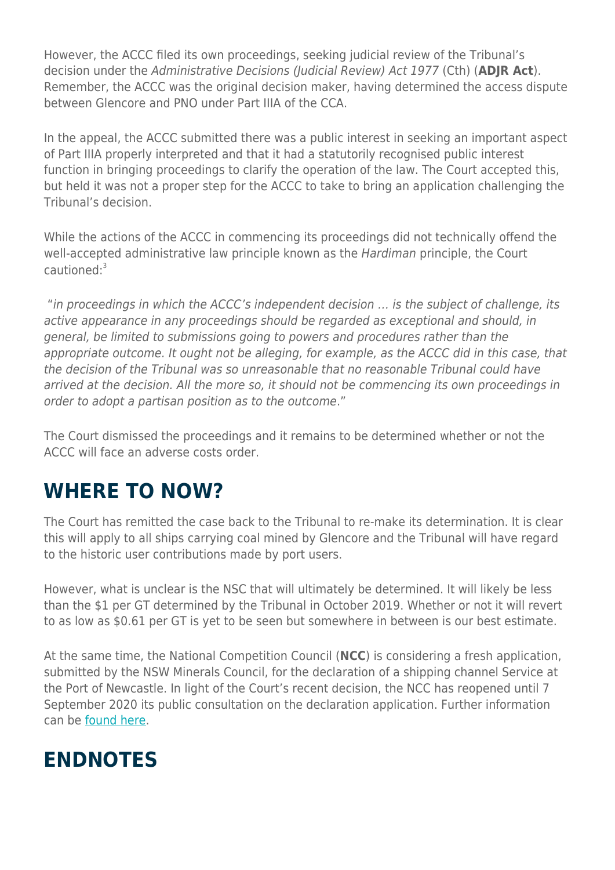However, the ACCC filed its own proceedings, seeking judicial review of the Tribunal's decision under the Administrative Decisions (Judicial Review) Act 1977 (Cth) (**ADJR Act**). Remember, the ACCC was the original decision maker, having determined the access dispute between Glencore and PNO under Part IIIA of the CCA.

In the appeal, the ACCC submitted there was a public interest in seeking an important aspect of Part IIIA properly interpreted and that it had a statutorily recognised public interest function in bringing proceedings to clarify the operation of the law. The Court accepted this, but held it was not a proper step for the ACCC to take to bring an application challenging the Tribunal's decision.

While the actions of the ACCC in commencing its proceedings did not technically offend the well-accepted administrative law principle known as the Hardiman principle, the Court cautioned:<sup>3</sup>

 "in proceedings in which the ACCC's independent decision … is the subject of challenge, its active appearance in any proceedings should be regarded as exceptional and should, in general, be limited to submissions going to powers and procedures rather than the appropriate outcome. It ought not be alleging, for example, as the ACCC did in this case, that the decision of the Tribunal was so unreasonable that no reasonable Tribunal could have arrived at the decision. All the more so, it should not be commencing its own proceedings in order to adopt a partisan position as to the outcome."

The Court dismissed the proceedings and it remains to be determined whether or not the ACCC will face an adverse costs order.

#### **WHERE TO NOW?**

The Court has remitted the case back to the Tribunal to re-make its determination. It is clear this will apply to all ships carrying coal mined by Glencore and the Tribunal will have regard to the historic user contributions made by port users.

However, what is unclear is the NSC that will ultimately be determined. It will likely be less than the \$1 per GT determined by the Tribunal in October 2019. Whether or not it will revert to as low as \$0.61 per GT is yet to be seen but somewhere in between is our best estimate.

At the same time, the National Competition Council (**NCC**) is considering a fresh application, submitted by the NSW Minerals Council, for the declaration of a shipping channel Service at the Port of Newcastle. In light of the Court's recent decision, the NCC has reopened until 7 September 2020 its public consultation on the declaration application. Further information can be [found here](http://ncc.gov.au/index.php/application/application-for-declaration-of-certain-Services-in-relation-to-the-port-of-newcastle).

#### **ENDNOTES**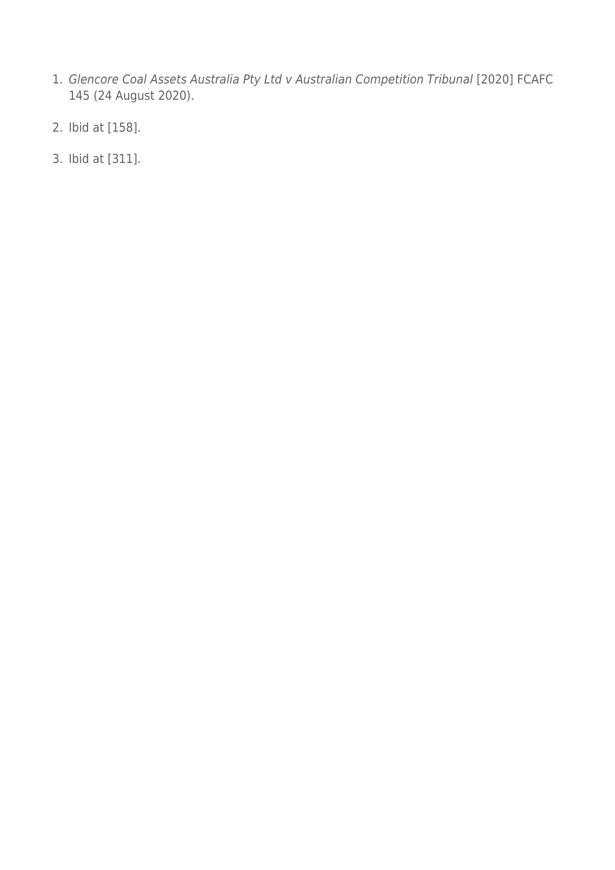- 1. Glencore Coal Assets Australia Pty Ltd v Australian Competition Tribunal [2020] FCAFC 145 (24 August 2020).
- 2. Ibid at [158].
- 3. Ibid at [311].